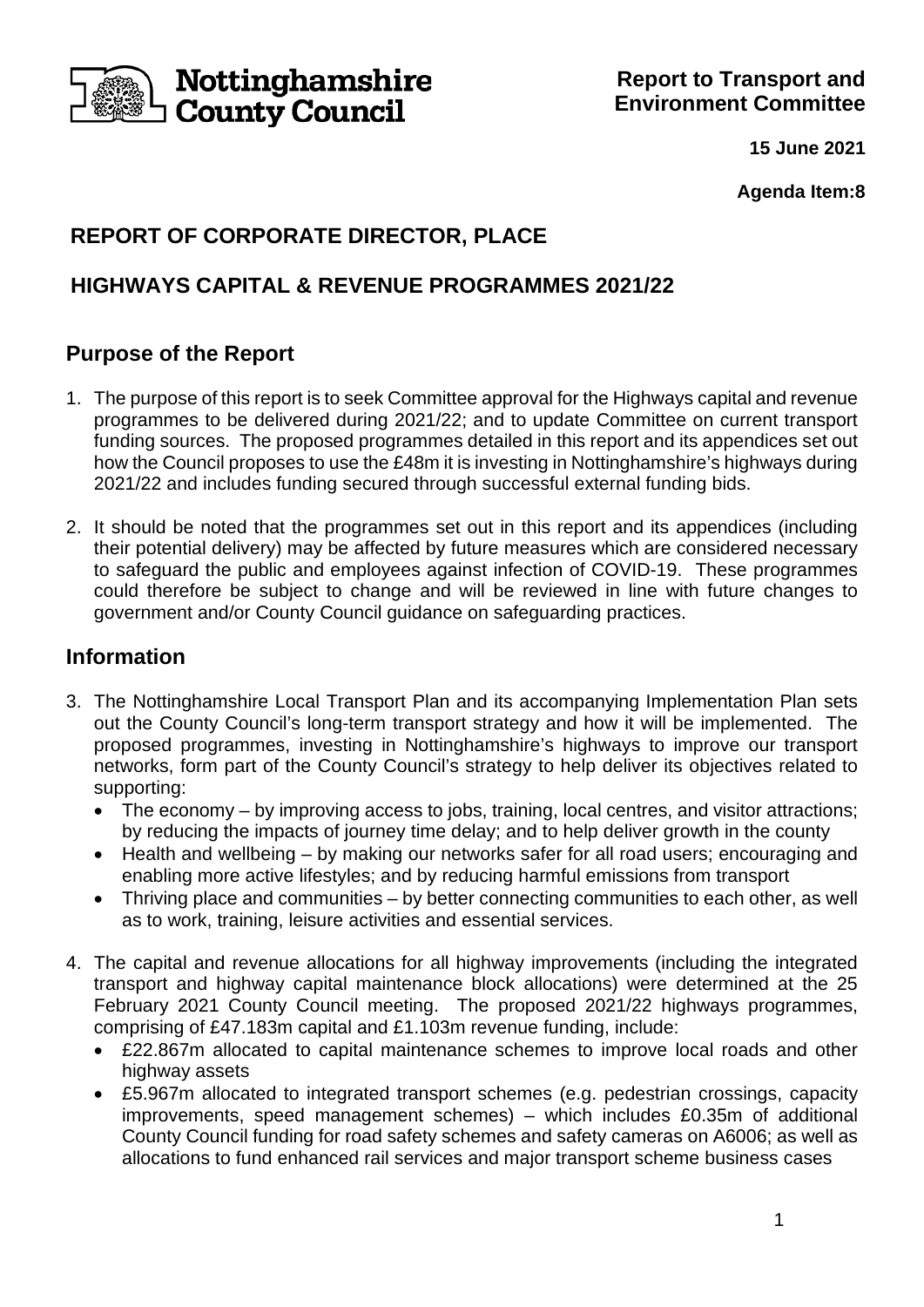

**15 June 2021**

**Agenda Item:8**

# **REPORT OF CORPORATE DIRECTOR, PLACE**

# **HIGHWAYS CAPITAL & REVENUE PROGRAMMES 2021/22**

# **Purpose of the Report**

- 1. The purpose of this report is to seek Committee approval for the Highways capital and revenue programmes to be delivered during 2021/22; and to update Committee on current transport funding sources. The proposed programmes detailed in this report and its appendices set out how the Council proposes to use the £48m it is investing in Nottinghamshire's highways during 2021/22 and includes funding secured through successful external funding bids.
- 2. It should be noted that the programmes set out in this report and its appendices (including their potential delivery) may be affected by future measures which are considered necessary to safeguard the public and employees against infection of COVID-19. These programmes could therefore be subject to change and will be reviewed in line with future changes to government and/or County Council guidance on safeguarding practices.

## **Information**

- 3. The Nottinghamshire Local Transport Plan and its accompanying Implementation Plan sets out the County Council's long-term transport strategy and how it will be implemented. The proposed programmes, investing in Nottinghamshire's highways to improve our transport networks, form part of the County Council's strategy to help deliver its objectives related to supporting:
	- The economy by improving access to jobs, training, local centres, and visitor attractions; by reducing the impacts of journey time delay; and to help deliver growth in the county
	- Health and wellbeing by making our networks safer for all road users; encouraging and enabling more active lifestyles; and by reducing harmful emissions from transport
	- Thriving place and communities by better connecting communities to each other, as well as to work, training, leisure activities and essential services.
- 4. The capital and revenue allocations for all highway improvements (including the integrated transport and highway capital maintenance block allocations) were determined at the 25 February 2021 County Council meeting. The proposed 2021/22 highways programmes, comprising of £47.183m capital and £1.103m revenue funding, include:
	- £22.867m allocated to capital maintenance schemes to improve local roads and other highway assets
	- £5.967m allocated to integrated transport schemes (e.g. pedestrian crossings, capacity improvements, speed management schemes) – which includes £0.35m of additional County Council funding for road safety schemes and safety cameras on A6006; as well as allocations to fund enhanced rail services and major transport scheme business cases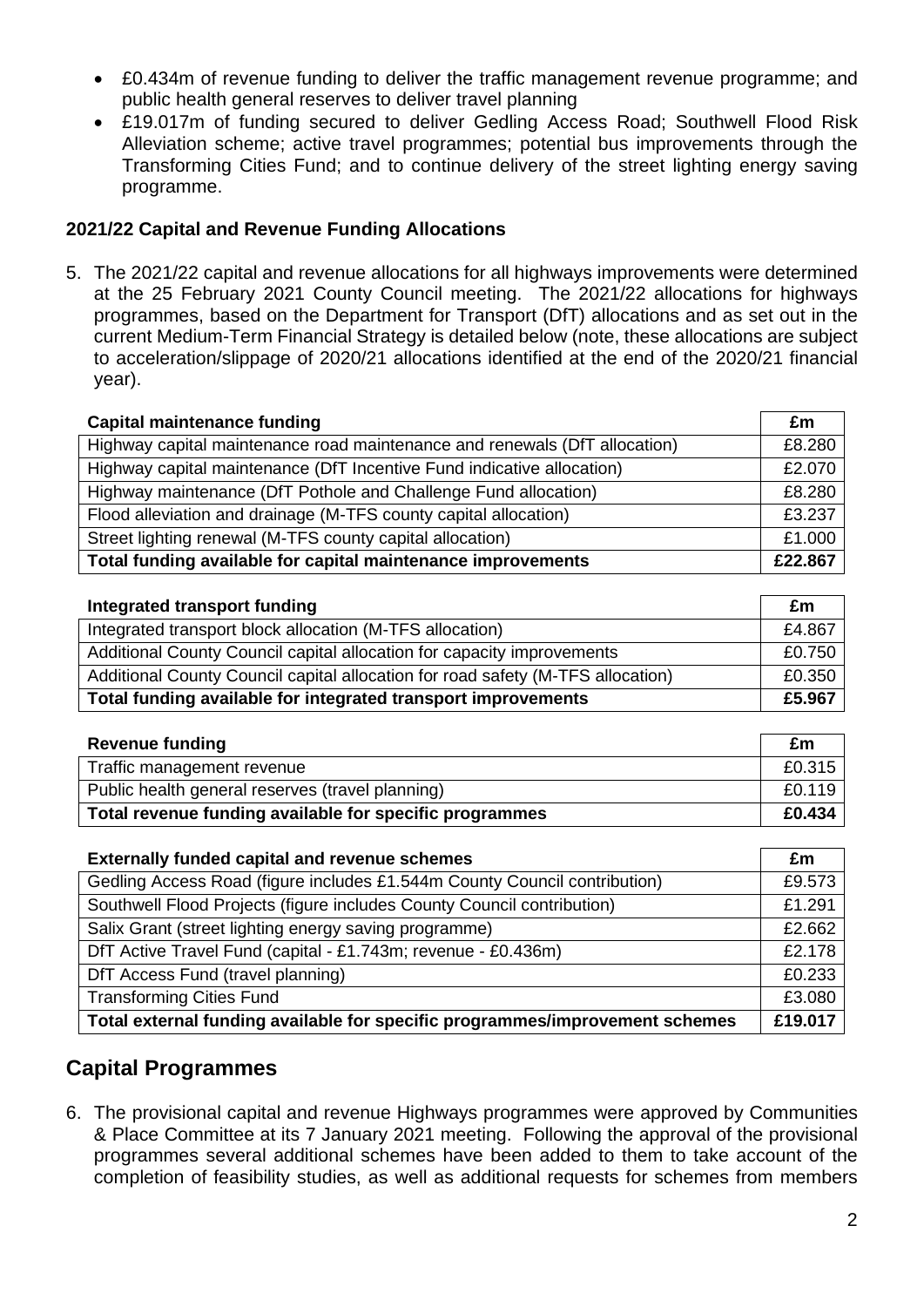- £0.434m of revenue funding to deliver the traffic management revenue programme; and public health general reserves to deliver travel planning
- £19.017m of funding secured to deliver Gedling Access Road; Southwell Flood Risk Alleviation scheme; active travel programmes; potential bus improvements through the Transforming Cities Fund; and to continue delivery of the street lighting energy saving programme.

#### **2021/22 Capital and Revenue Funding Allocations**

5. The 2021/22 capital and revenue allocations for all highways improvements were determined at the 25 February 2021 County Council meeting. The 2021/22 allocations for highways programmes, based on the Department for Transport (DfT) allocations and as set out in the current Medium-Term Financial Strategy is detailed below (note, these allocations are subject to acceleration/slippage of 2020/21 allocations identified at the end of the 2020/21 financial year).

| <b>Capital maintenance funding</b>                                         |        |  |  |  |
|----------------------------------------------------------------------------|--------|--|--|--|
| Highway capital maintenance road maintenance and renewals (DfT allocation) | £8.280 |  |  |  |
| Highway capital maintenance (DfT Incentive Fund indicative allocation)     | £2.070 |  |  |  |
| Highway maintenance (DfT Pothole and Challenge Fund allocation)            | £8.280 |  |  |  |
| Flood alleviation and drainage (M-TFS county capital allocation)           | £3.237 |  |  |  |
| Street lighting renewal (M-TFS county capital allocation)                  | £1.000 |  |  |  |
| Total funding available for capital maintenance improvements               |        |  |  |  |

| Integrated transport funding                                                    | £m     |  |
|---------------------------------------------------------------------------------|--------|--|
| Integrated transport block allocation (M-TFS allocation)                        | £4.867 |  |
| Additional County Council capital allocation for capacity improvements          | £0.750 |  |
| Additional County Council capital allocation for road safety (M-TFS allocation) | £0.350 |  |
| Total funding available for integrated transport improvements                   |        |  |

| <b>Revenue funding</b>                                  | £m     |
|---------------------------------------------------------|--------|
| Traffic management revenue                              | £0.315 |
| Public health general reserves (travel planning)        | £0.119 |
| Total revenue funding available for specific programmes |        |

| <b>Externally funded capital and revenue schemes</b>                         |        |  |  |  |
|------------------------------------------------------------------------------|--------|--|--|--|
| Gedling Access Road (figure includes £1.544m County Council contribution)    | £9.573 |  |  |  |
| Southwell Flood Projects (figure includes County Council contribution)       | £1.291 |  |  |  |
| Salix Grant (street lighting energy saving programme)                        | £2.662 |  |  |  |
| DfT Active Travel Fund (capital - £1.743m; revenue - £0.436m)                | £2.178 |  |  |  |
| DfT Access Fund (travel planning)                                            | £0.233 |  |  |  |
| <b>Transforming Cities Fund</b>                                              | £3.080 |  |  |  |
| Total external funding available for specific programmes/improvement schemes |        |  |  |  |

## **Capital Programmes**

6. The provisional capital and revenue Highways programmes were approved by Communities & Place Committee at its 7 January 2021 meeting. Following the approval of the provisional programmes several additional schemes have been added to them to take account of the completion of feasibility studies, as well as additional requests for schemes from members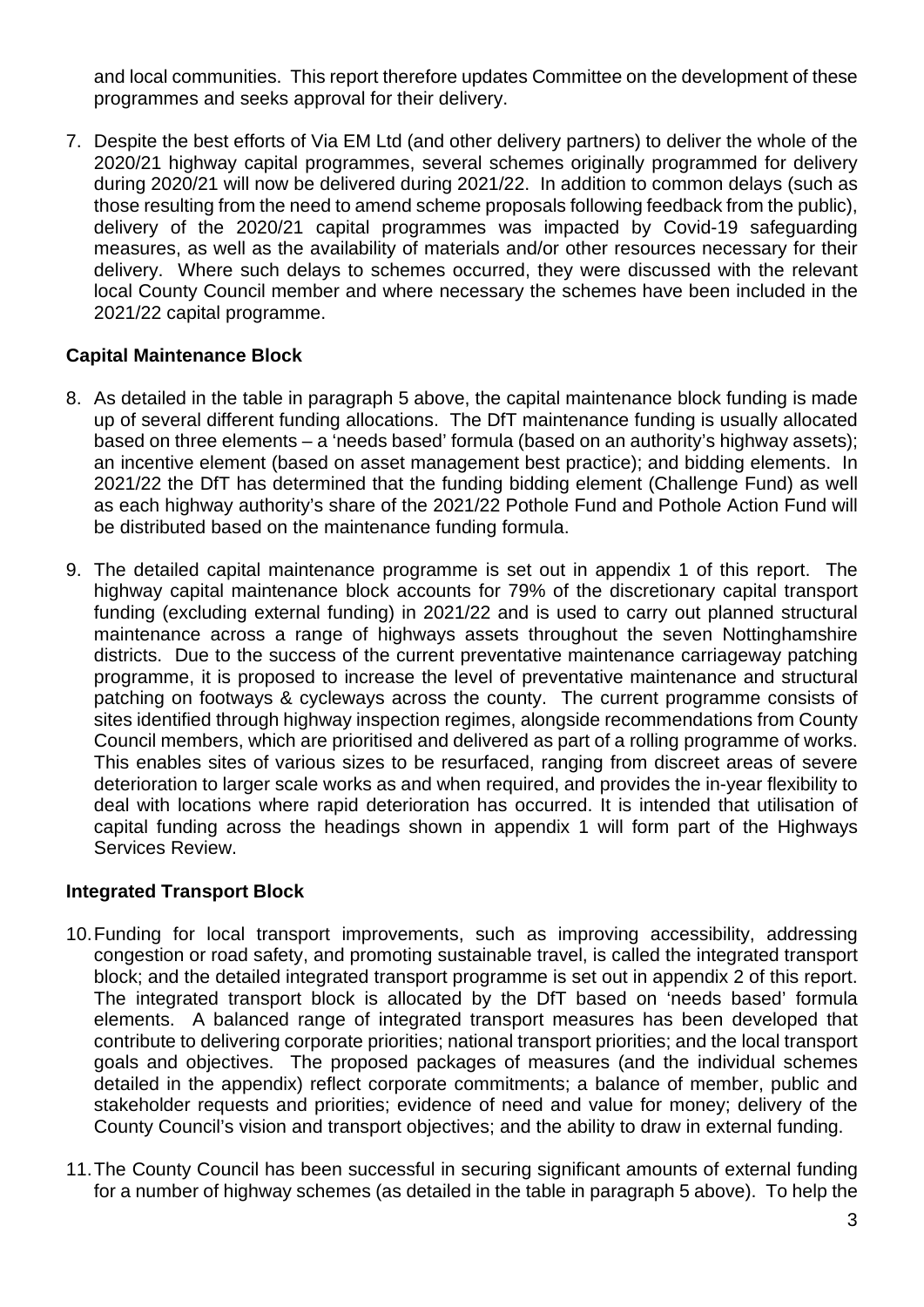and local communities. This report therefore updates Committee on the development of these programmes and seeks approval for their delivery.

7. Despite the best efforts of Via EM Ltd (and other delivery partners) to deliver the whole of the 2020/21 highway capital programmes, several schemes originally programmed for delivery during 2020/21 will now be delivered during 2021/22. In addition to common delays (such as those resulting from the need to amend scheme proposals following feedback from the public), delivery of the 2020/21 capital programmes was impacted by Covid-19 safeguarding measures, as well as the availability of materials and/or other resources necessary for their delivery. Where such delays to schemes occurred, they were discussed with the relevant local County Council member and where necessary the schemes have been included in the 2021/22 capital programme.

## **Capital Maintenance Block**

- 8. As detailed in the table in paragraph 5 above, the capital maintenance block funding is made up of several different funding allocations. The DfT maintenance funding is usually allocated based on three elements – a 'needs based' formula (based on an authority's highway assets); an incentive element (based on asset management best practice); and bidding elements. In 2021/22 the DfT has determined that the funding bidding element (Challenge Fund) as well as each highway authority's share of the 2021/22 Pothole Fund and Pothole Action Fund will be distributed based on the maintenance funding formula.
- 9. The detailed capital maintenance programme is set out in appendix 1 of this report. The highway capital maintenance block accounts for 79% of the discretionary capital transport funding (excluding external funding) in 2021/22 and is used to carry out planned structural maintenance across a range of highways assets throughout the seven Nottinghamshire districts. Due to the success of the current preventative maintenance carriageway patching programme, it is proposed to increase the level of preventative maintenance and structural patching on footways & cycleways across the county. The current programme consists of sites identified through highway inspection regimes, alongside recommendations from County Council members, which are prioritised and delivered as part of a rolling programme of works. This enables sites of various sizes to be resurfaced, ranging from discreet areas of severe deterioration to larger scale works as and when required, and provides the in-year flexibility to deal with locations where rapid deterioration has occurred. It is intended that utilisation of capital funding across the headings shown in appendix 1 will form part of the Highways Services Review.

## **Integrated Transport Block**

- 10.Funding for local transport improvements, such as improving accessibility, addressing congestion or road safety, and promoting sustainable travel, is called the integrated transport block; and the detailed integrated transport programme is set out in appendix 2 of this report. The integrated transport block is allocated by the DfT based on 'needs based' formula elements. A balanced range of integrated transport measures has been developed that contribute to delivering corporate priorities; national transport priorities; and the local transport goals and objectives. The proposed packages of measures (and the individual schemes detailed in the appendix) reflect corporate commitments; a balance of member, public and stakeholder requests and priorities; evidence of need and value for money; delivery of the County Council's vision and transport objectives; and the ability to draw in external funding.
- 11.The County Council has been successful in securing significant amounts of external funding for a number of highway schemes (as detailed in the table in paragraph 5 above). To help the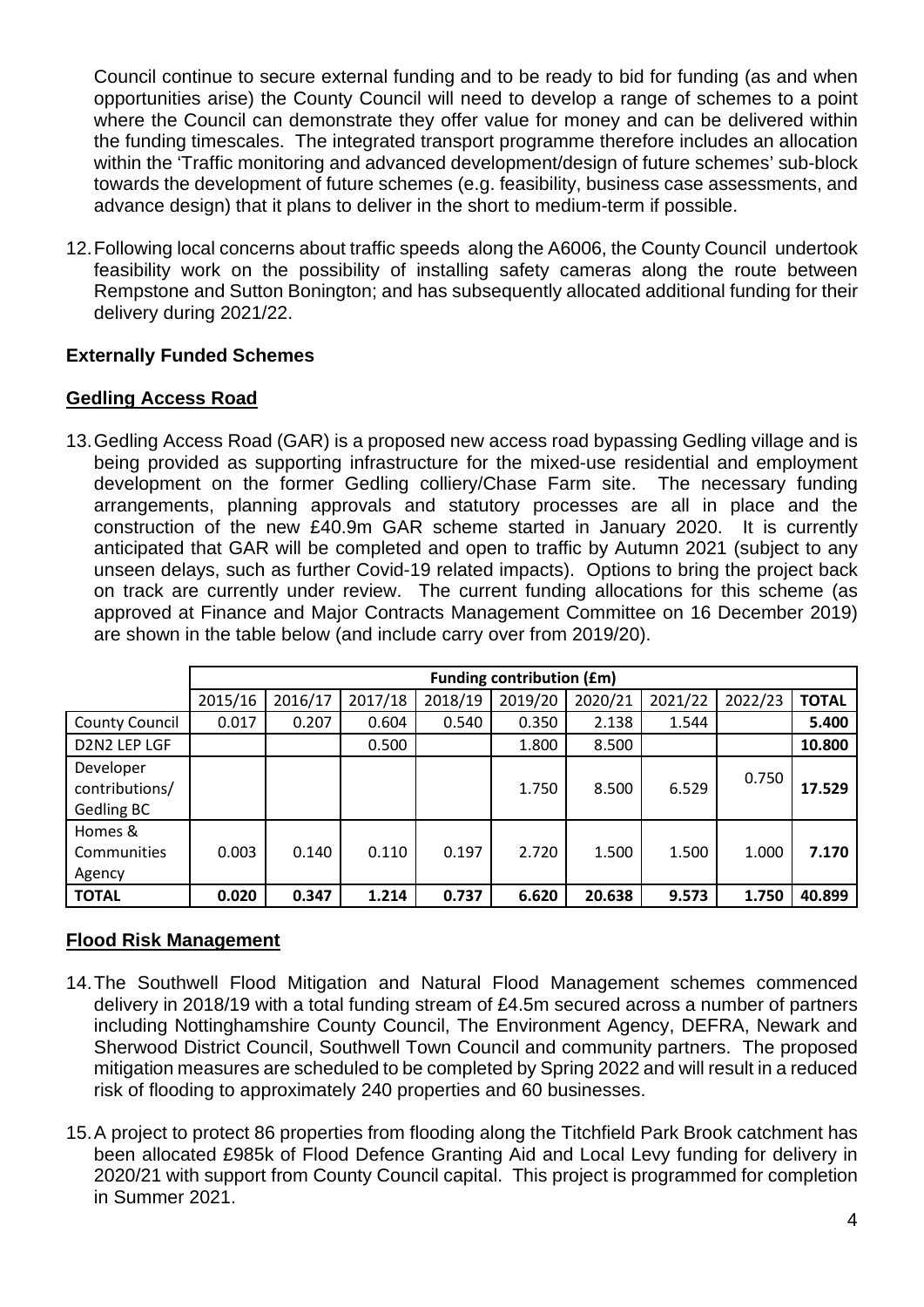Council continue to secure external funding and to be ready to bid for funding (as and when opportunities arise) the County Council will need to develop a range of schemes to a point where the Council can demonstrate they offer value for money and can be delivered within the funding timescales. The integrated transport programme therefore includes an allocation within the 'Traffic monitoring and advanced development/design of future schemes' sub-block towards the development of future schemes (e.g. feasibility, business case assessments, and advance design) that it plans to deliver in the short to medium-term if possible.

12.Following local concerns about traffic speeds along the A6006, the County Council undertook feasibility work on the possibility of installing safety cameras along the route between Rempstone and Sutton Bonington; and has subsequently allocated additional funding for their delivery during 2021/22.

## **Externally Funded Schemes**

#### **Gedling Access Road**

13.Gedling Access Road (GAR) is a proposed new access road bypassing Gedling village and is being provided as supporting infrastructure for the mixed-use residential and employment development on the former Gedling colliery/Chase Farm site. The necessary funding arrangements, planning approvals and statutory processes are all in place and the construction of the new £40.9m GAR scheme started in January 2020. It is currently anticipated that GAR will be completed and open to traffic by Autumn 2021 (subject to any unseen delays, such as further Covid-19 related impacts). Options to bring the project back on track are currently under review. The current funding allocations for this scheme (as approved at Finance and Major Contracts Management Committee on 16 December 2019) are shown in the table below (and include carry over from 2019/20).

|                                           | <b>Funding contribution (£m)</b> |         |         |         |         |         |         |         |              |
|-------------------------------------------|----------------------------------|---------|---------|---------|---------|---------|---------|---------|--------------|
|                                           | 2015/16                          | 2016/17 | 2017/18 | 2018/19 | 2019/20 | 2020/21 | 2021/22 | 2022/23 | <b>TOTAL</b> |
| <b>County Council</b>                     | 0.017                            | 0.207   | 0.604   | 0.540   | 0.350   | 2.138   | 1.544   |         | 5.400        |
| D2N2 LEP LGF                              |                                  |         | 0.500   |         | 1.800   | 8.500   |         |         | 10.800       |
| Developer<br>contributions/<br>Gedling BC |                                  |         |         |         | 1.750   | 8.500   | 6.529   | 0.750   | 17.529       |
| Homes &<br>Communities<br>Agency          | 0.003                            | 0.140   | 0.110   | 0.197   | 2.720   | 1.500   | 1.500   | 1.000   | 7.170        |
| <b>TOTAL</b>                              | 0.020                            | 0.347   | 1.214   | 0.737   | 6.620   | 20.638  | 9.573   | 1.750   | 40.899       |

## **Flood Risk Management**

- 14.The Southwell Flood Mitigation and Natural Flood Management schemes commenced delivery in 2018/19 with a total funding stream of £4.5m secured across a number of partners including Nottinghamshire County Council, The Environment Agency, DEFRA, Newark and Sherwood District Council, Southwell Town Council and community partners. The proposed mitigation measures are scheduled to be completed by Spring 2022 and will result in a reduced risk of flooding to approximately 240 properties and 60 businesses.
- 15.A project to protect 86 properties from flooding along the Titchfield Park Brook catchment has been allocated £985k of Flood Defence Granting Aid and Local Levy funding for delivery in 2020/21 with support from County Council capital. This project is programmed for completion in Summer 2021.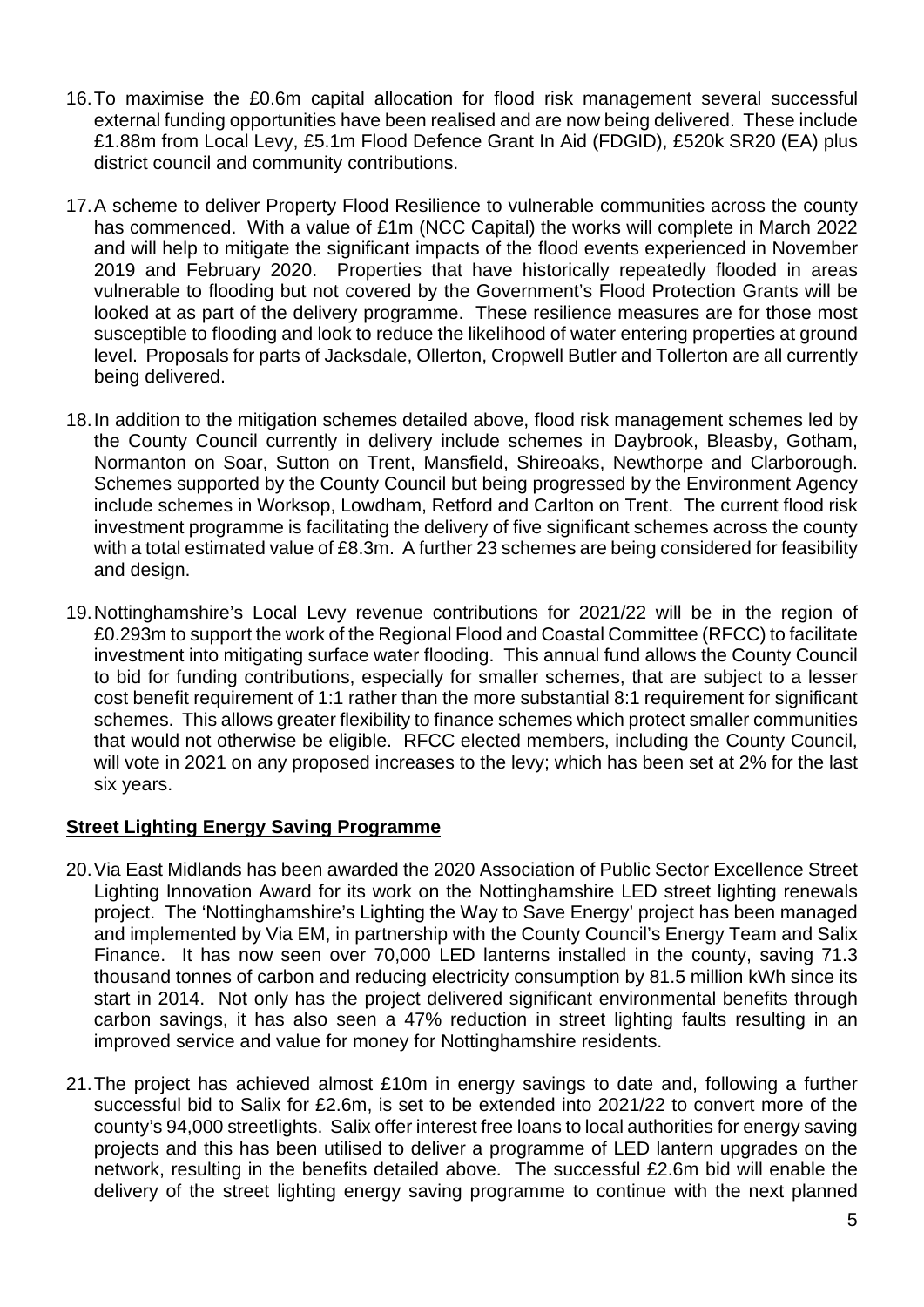- 16.To maximise the £0.6m capital allocation for flood risk management several successful external funding opportunities have been realised and are now being delivered. These include £1.88m from Local Levy, £5.1m Flood Defence Grant In Aid (FDGID), £520k SR20 (EA) plus district council and community contributions.
- 17.A scheme to deliver Property Flood Resilience to vulnerable communities across the county has commenced. With a value of £1m (NCC Capital) the works will complete in March 2022 and will help to mitigate the significant impacts of the flood events experienced in November 2019 and February 2020. Properties that have historically repeatedly flooded in areas vulnerable to flooding but not covered by the Government's Flood Protection Grants will be looked at as part of the delivery programme. These resilience measures are for those most susceptible to flooding and look to reduce the likelihood of water entering properties at ground level. Proposals for parts of Jacksdale, Ollerton, Cropwell Butler and Tollerton are all currently being delivered.
- 18.In addition to the mitigation schemes detailed above, flood risk management schemes led by the County Council currently in delivery include schemes in Daybrook, Bleasby, Gotham, Normanton on Soar, Sutton on Trent, Mansfield, Shireoaks, Newthorpe and Clarborough. Schemes supported by the County Council but being progressed by the Environment Agency include schemes in Worksop, Lowdham, Retford and Carlton on Trent. The current flood risk investment programme is facilitating the delivery of five significant schemes across the county with a total estimated value of £8.3m. A further 23 schemes are being considered for feasibility and design.
- 19.Nottinghamshire's Local Levy revenue contributions for 2021/22 will be in the region of £0.293m to support the work of the Regional Flood and Coastal Committee (RFCC) to facilitate investment into mitigating surface water flooding. This annual fund allows the County Council to bid for funding contributions, especially for smaller schemes, that are subject to a lesser cost benefit requirement of 1:1 rather than the more substantial 8:1 requirement for significant schemes. This allows greater flexibility to finance schemes which protect smaller communities that would not otherwise be eligible. RFCC elected members, including the County Council, will vote in 2021 on any proposed increases to the levy; which has been set at 2% for the last six years.

## **Street Lighting Energy Saving Programme**

- 20.Via East Midlands has been awarded the 2020 Association of Public Sector Excellence Street Lighting Innovation Award for its work on the Nottinghamshire LED street lighting renewals project. The 'Nottinghamshire's Lighting the Way to Save Energy' project has been managed and implemented by Via EM, in partnership with the County Council's Energy Team and Salix Finance. It has now seen over 70,000 LED lanterns installed in the county, saving 71.3 thousand tonnes of carbon and reducing electricity consumption by 81.5 million kWh since its start in 2014. Not only has the project delivered significant environmental benefits through carbon savings, it has also seen a 47% reduction in street lighting faults resulting in an improved service and value for money for Nottinghamshire residents.
- 21.The project has achieved almost £10m in energy savings to date and, following a further successful bid to Salix for £2.6m, is set to be extended into 2021/22 to convert more of the county's 94,000 streetlights. Salix offer interest free loans to local authorities for energy saving projects and this has been utilised to deliver a programme of LED lantern upgrades on the network, resulting in the benefits detailed above. The successful £2.6m bid will enable the delivery of the street lighting energy saving programme to continue with the next planned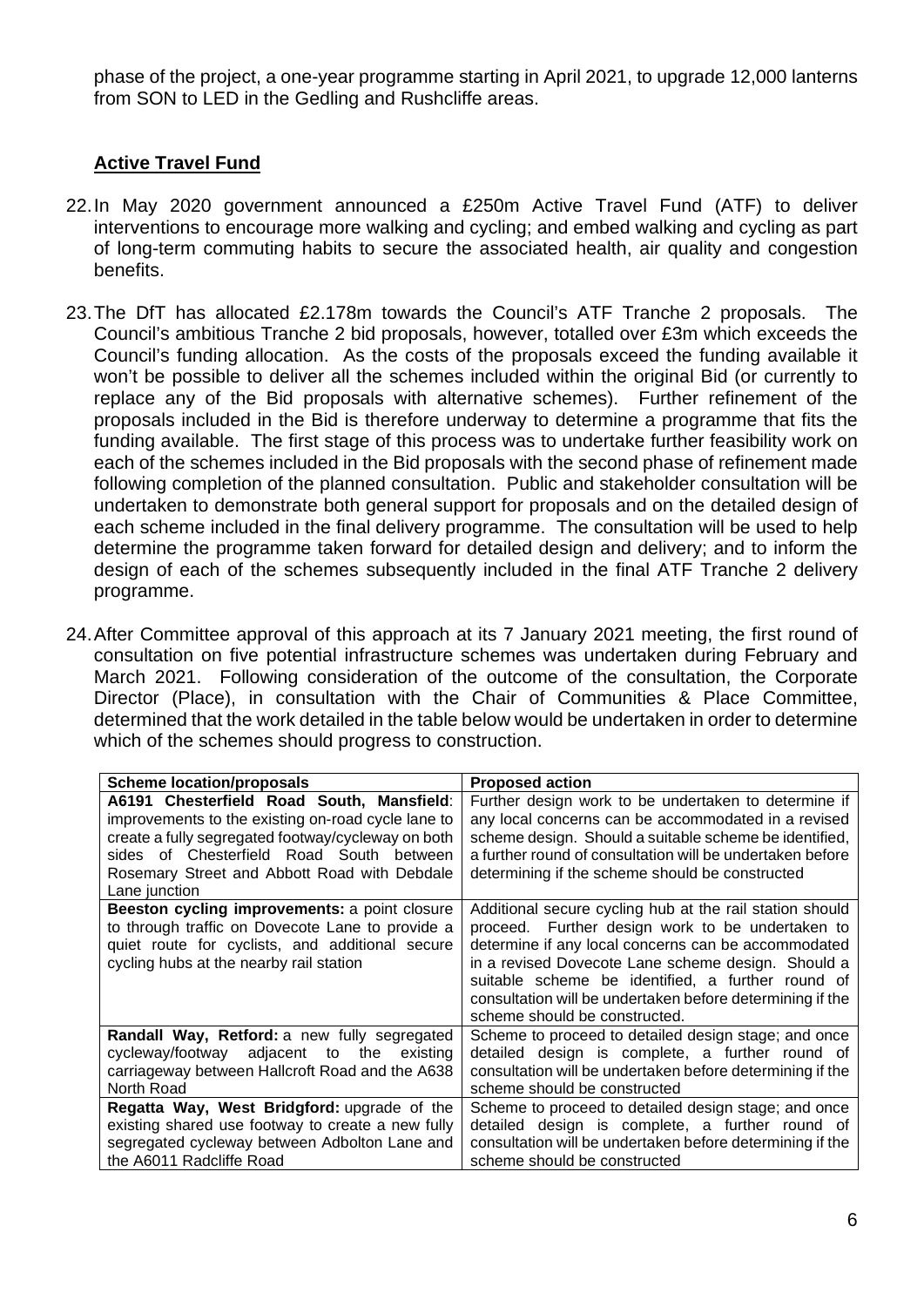phase of the project, a one-year programme starting in April 2021, to upgrade 12,000 lanterns from SON to LED in the Gedling and Rushcliffe areas.

## **Active Travel Fund**

- 22.In May 2020 government announced a £250m Active Travel Fund (ATF) to deliver interventions to encourage more walking and cycling; and embed walking and cycling as part of long-term commuting habits to secure the associated health, air quality and congestion benefits.
- 23.The DfT has allocated £2.178m towards the Council's ATF Tranche 2 proposals. The Council's ambitious Tranche 2 bid proposals, however, totalled over £3m which exceeds the Council's funding allocation. As the costs of the proposals exceed the funding available it won't be possible to deliver all the schemes included within the original Bid (or currently to replace any of the Bid proposals with alternative schemes). Further refinement of the proposals included in the Bid is therefore underway to determine a programme that fits the funding available. The first stage of this process was to undertake further feasibility work on each of the schemes included in the Bid proposals with the second phase of refinement made following completion of the planned consultation. Public and stakeholder consultation will be undertaken to demonstrate both general support for proposals and on the detailed design of each scheme included in the final delivery programme. The consultation will be used to help determine the programme taken forward for detailed design and delivery; and to inform the design of each of the schemes subsequently included in the final ATF Tranche 2 delivery programme.
- 24.After Committee approval of this approach at its 7 January 2021 meeting, the first round of consultation on five potential infrastructure schemes was undertaken during February and March 2021. Following consideration of the outcome of the consultation, the Corporate Director (Place), in consultation with the Chair of Communities & Place Committee, determined that the work detailed in the table below would be undertaken in order to determine which of the schemes should progress to construction.

| <b>Scheme location/proposals</b>                                                                                                                                                                                                                                   | <b>Proposed action</b>                                                                                                                                                                                                                                                                                                                                                       |
|--------------------------------------------------------------------------------------------------------------------------------------------------------------------------------------------------------------------------------------------------------------------|------------------------------------------------------------------------------------------------------------------------------------------------------------------------------------------------------------------------------------------------------------------------------------------------------------------------------------------------------------------------------|
| A6191 Chesterfield Road South, Mansfield:<br>improvements to the existing on-road cycle lane to<br>create a fully segregated footway/cycleway on both<br>sides of Chesterfield Road South between<br>Rosemary Street and Abbott Road with Debdale<br>Lane junction | Further design work to be undertaken to determine if<br>any local concerns can be accommodated in a revised<br>scheme design. Should a suitable scheme be identified,<br>a further round of consultation will be undertaken before<br>determining if the scheme should be constructed                                                                                        |
| Beeston cycling improvements: a point closure<br>to through traffic on Dovecote Lane to provide a<br>quiet route for cyclists, and additional secure<br>cycling hubs at the nearby rail station                                                                    | Additional secure cycling hub at the rail station should<br>proceed. Further design work to be undertaken to<br>determine if any local concerns can be accommodated<br>in a revised Dovecote Lane scheme design. Should a<br>suitable scheme be identified, a further round of<br>consultation will be undertaken before determining if the<br>scheme should be constructed. |
| Randall Way, Retford: a new fully segregated<br>cycleway/footway adjacent to the<br>existing<br>carriageway between Hallcroft Road and the A638<br>North Road                                                                                                      | Scheme to proceed to detailed design stage; and once<br>detailed design is complete, a further round of<br>consultation will be undertaken before determining if the<br>scheme should be constructed                                                                                                                                                                         |
| Regatta Way, West Bridgford: upgrade of the<br>existing shared use footway to create a new fully<br>segregated cycleway between Adbolton Lane and<br>the A6011 Radcliffe Road                                                                                      | Scheme to proceed to detailed design stage; and once<br>detailed design is complete, a further round of<br>consultation will be undertaken before determining if the<br>scheme should be constructed                                                                                                                                                                         |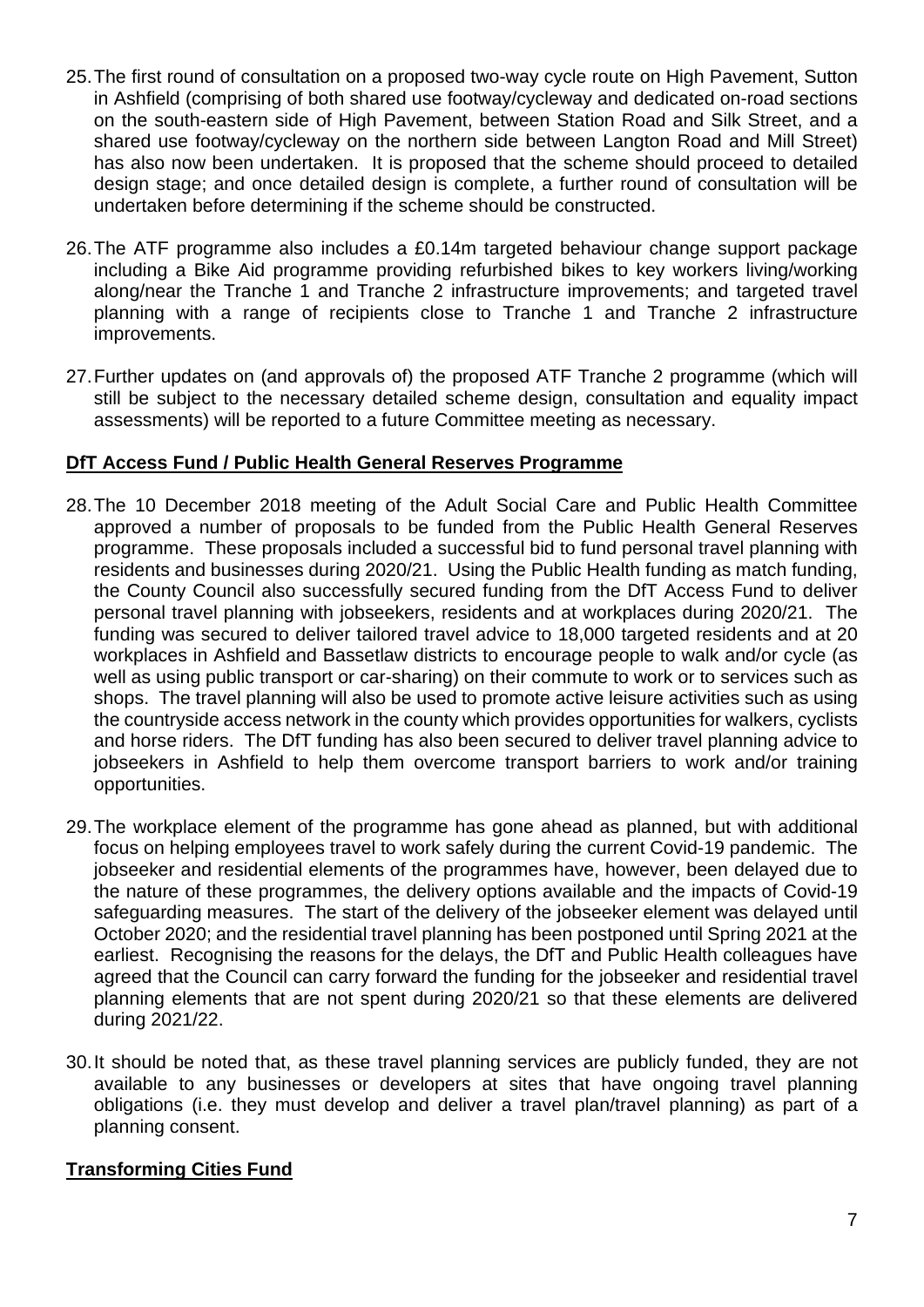- 25.The first round of consultation on a proposed two-way cycle route on High Pavement, Sutton in Ashfield (comprising of both shared use footway/cycleway and dedicated on-road sections on the south-eastern side of High Pavement, between Station Road and Silk Street, and a shared use footway/cycleway on the northern side between Langton Road and Mill Street) has also now been undertaken. It is proposed that the scheme should proceed to detailed design stage; and once detailed design is complete, a further round of consultation will be undertaken before determining if the scheme should be constructed.
- 26.The ATF programme also includes a £0.14m targeted behaviour change support package including a Bike Aid programme providing refurbished bikes to key workers living/working along/near the Tranche 1 and Tranche 2 infrastructure improvements; and targeted travel planning with a range of recipients close to Tranche 1 and Tranche 2 infrastructure improvements.
- 27.Further updates on (and approvals of) the proposed ATF Tranche 2 programme (which will still be subject to the necessary detailed scheme design, consultation and equality impact assessments) will be reported to a future Committee meeting as necessary.

## **DfT Access Fund / Public Health General Reserves Programme**

- 28.The 10 December 2018 meeting of the Adult Social Care and Public Health Committee approved a number of proposals to be funded from the Public Health General Reserves programme. These proposals included a successful bid to fund personal travel planning with residents and businesses during 2020/21. Using the Public Health funding as match funding, the County Council also successfully secured funding from the DfT Access Fund to deliver personal travel planning with jobseekers, residents and at workplaces during 2020/21. The funding was secured to deliver tailored travel advice to 18,000 targeted residents and at 20 workplaces in Ashfield and Bassetlaw districts to encourage people to walk and/or cycle (as well as using public transport or car-sharing) on their commute to work or to services such as shops. The travel planning will also be used to promote active leisure activities such as using the countryside access network in the county which provides opportunities for walkers, cyclists and horse riders. The DfT funding has also been secured to deliver travel planning advice to jobseekers in Ashfield to help them overcome transport barriers to work and/or training opportunities.
- 29.The workplace element of the programme has gone ahead as planned, but with additional focus on helping employees travel to work safely during the current Covid-19 pandemic. The jobseeker and residential elements of the programmes have, however, been delayed due to the nature of these programmes, the delivery options available and the impacts of Covid-19 safeguarding measures. The start of the delivery of the jobseeker element was delayed until October 2020; and the residential travel planning has been postponed until Spring 2021 at the earliest. Recognising the reasons for the delays, the DfT and Public Health colleagues have agreed that the Council can carry forward the funding for the jobseeker and residential travel planning elements that are not spent during 2020/21 so that these elements are delivered during 2021/22.
- 30.It should be noted that, as these travel planning services are publicly funded, they are not available to any businesses or developers at sites that have ongoing travel planning obligations (i.e. they must develop and deliver a travel plan/travel planning) as part of a planning consent.

## **Transforming Cities Fund**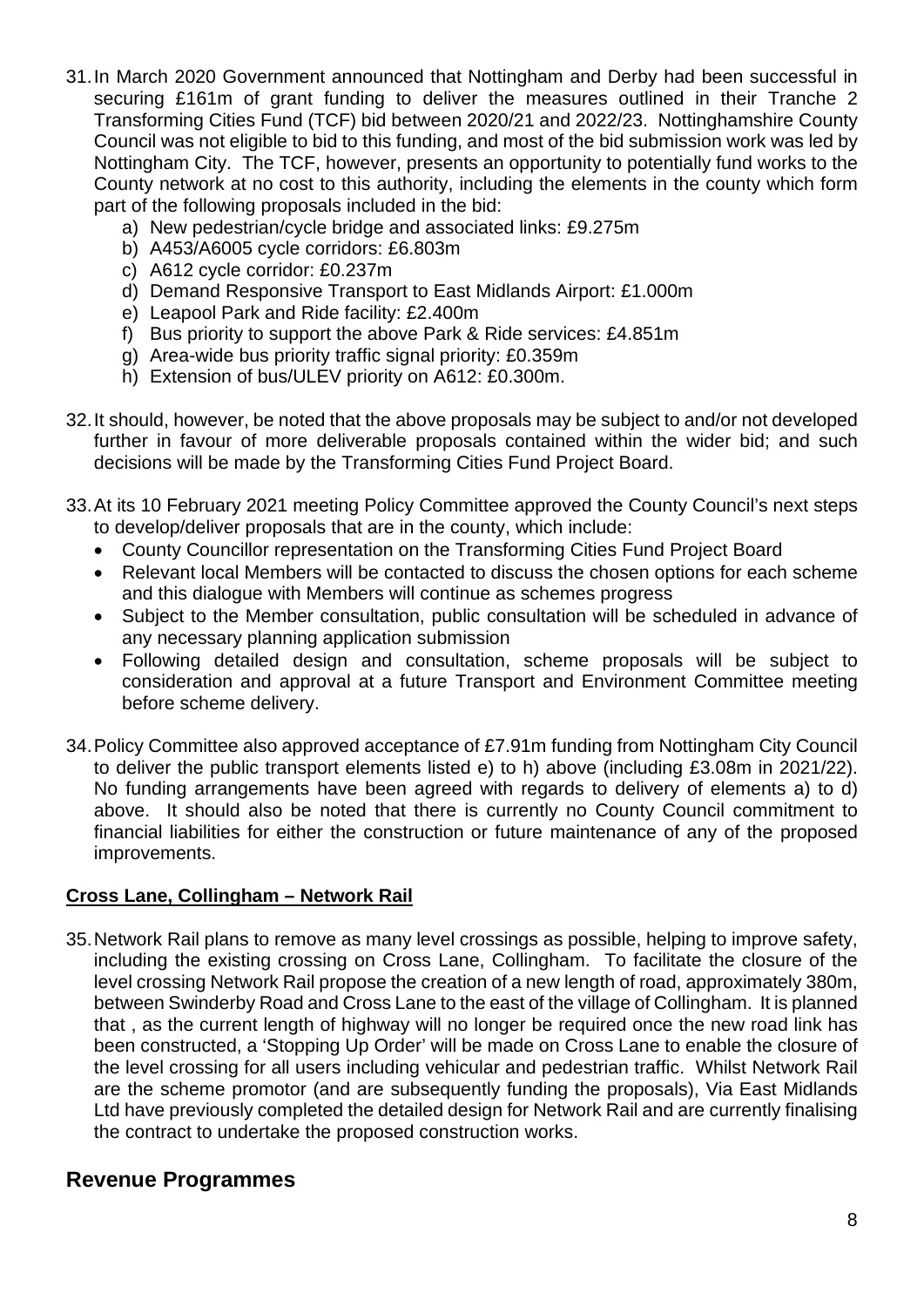- 31.In March 2020 Government announced that Nottingham and Derby had been successful in securing £161m of grant funding to deliver the measures outlined in their Tranche 2 Transforming Cities Fund (TCF) bid between 2020/21 and 2022/23. Nottinghamshire County Council was not eligible to bid to this funding, and most of the bid submission work was led by Nottingham City. The TCF, however, presents an opportunity to potentially fund works to the County network at no cost to this authority, including the elements in the county which form part of the following proposals included in the bid:
	- a) New pedestrian/cycle bridge and associated links: £9.275m
	- b) A453/A6005 cycle corridors: £6.803m
	- c) A612 cycle corridor: £0.237m
	- d) Demand Responsive Transport to East Midlands Airport: £1.000m
	- e) Leapool Park and Ride facility: £2.400m
	- f) Bus priority to support the above Park & Ride services: £4.851m
	- g) Area-wide bus priority traffic signal priority: £0.359m
	- h) Extension of bus/ULEV priority on A612: £0.300m.
- 32.It should, however, be noted that the above proposals may be subject to and/or not developed further in favour of more deliverable proposals contained within the wider bid; and such decisions will be made by the Transforming Cities Fund Project Board.
- 33.At its 10 February 2021 meeting Policy Committee approved the County Council's next steps to develop/deliver proposals that are in the county, which include:
	- County Councillor representation on the Transforming Cities Fund Project Board
	- Relevant local Members will be contacted to discuss the chosen options for each scheme and this dialogue with Members will continue as schemes progress
	- Subject to the Member consultation, public consultation will be scheduled in advance of any necessary planning application submission
	- Following detailed design and consultation, scheme proposals will be subject to consideration and approval at a future Transport and Environment Committee meeting before scheme delivery.
- 34.Policy Committee also approved acceptance of £7.91m funding from Nottingham City Council to deliver the public transport elements listed e) to h) above (including £3.08m in 2021/22). No funding arrangements have been agreed with regards to delivery of elements a) to d) above. It should also be noted that there is currently no County Council commitment to financial liabilities for either the construction or future maintenance of any of the proposed improvements.

## **Cross Lane, Collingham – Network Rail**

35.Network Rail plans to remove as many level crossings as possible, helping to improve safety, including the existing crossing on Cross Lane, Collingham. To facilitate the closure of the level crossing Network Rail propose the creation of a new length of road, approximately 380m, between Swinderby Road and Cross Lane to the east of the village of Collingham. It is planned that , as the current length of highway will no longer be required once the new road link has been constructed, a 'Stopping Up Order' will be made on Cross Lane to enable the closure of the level crossing for all users including vehicular and pedestrian traffic. Whilst Network Rail are the scheme promotor (and are subsequently funding the proposals), Via East Midlands Ltd have previously completed the detailed design for Network Rail and are currently finalising the contract to undertake the proposed construction works.

## **Revenue Programmes**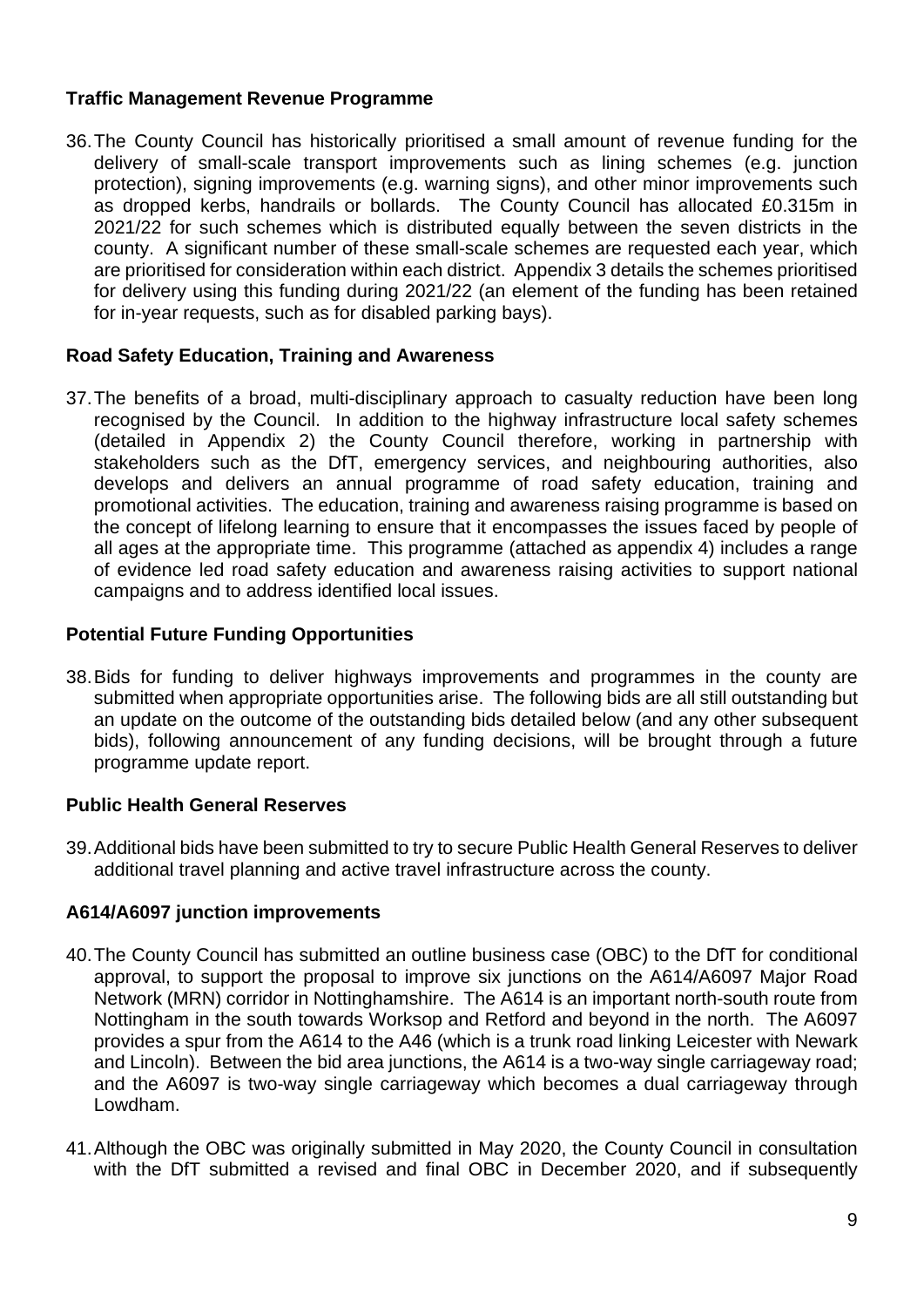## **Traffic Management Revenue Programme**

36.The County Council has historically prioritised a small amount of revenue funding for the delivery of small-scale transport improvements such as lining schemes (e.g. junction protection), signing improvements (e.g. warning signs), and other minor improvements such as dropped kerbs, handrails or bollards. The County Council has allocated £0.315m in 2021/22 for such schemes which is distributed equally between the seven districts in the county. A significant number of these small-scale schemes are requested each year, which are prioritised for consideration within each district. Appendix 3 details the schemes prioritised for delivery using this funding during 2021/22 (an element of the funding has been retained for in-year requests, such as for disabled parking bays).

#### **Road Safety Education, Training and Awareness**

37.The benefits of a broad, multi-disciplinary approach to casualty reduction have been long recognised by the Council. In addition to the highway infrastructure local safety schemes (detailed in Appendix 2) the County Council therefore, working in partnership with stakeholders such as the DfT, emergency services, and neighbouring authorities, also develops and delivers an annual programme of road safety education, training and promotional activities. The education, training and awareness raising programme is based on the concept of lifelong learning to ensure that it encompasses the issues faced by people of all ages at the appropriate time. This programme (attached as appendix 4) includes a range of evidence led road safety education and awareness raising activities to support national campaigns and to address identified local issues.

#### **Potential Future Funding Opportunities**

38.Bids for funding to deliver highways improvements and programmes in the county are submitted when appropriate opportunities arise. The following bids are all still outstanding but an update on the outcome of the outstanding bids detailed below (and any other subsequent bids), following announcement of any funding decisions, will be brought through a future programme update report.

#### **Public Health General Reserves**

39.Additional bids have been submitted to try to secure Public Health General Reserves to deliver additional travel planning and active travel infrastructure across the county.

#### **A614/A6097 junction improvements**

- 40.The County Council has submitted an outline business case (OBC) to the DfT for conditional approval, to support the proposal to improve six junctions on the A614/A6097 Major Road Network (MRN) corridor in Nottinghamshire. The A614 is an important north-south route from Nottingham in the south towards Worksop and Retford and beyond in the north. The A6097 provides a spur from the A614 to the A46 (which is a trunk road linking Leicester with Newark and Lincoln). Between the bid area junctions, the A614 is a two-way single carriageway road; and the A6097 is two-way single carriageway which becomes a dual carriageway through Lowdham.
- 41.Although the OBC was originally submitted in May 2020, the County Council in consultation with the DfT submitted a revised and final OBC in December 2020, and if subsequently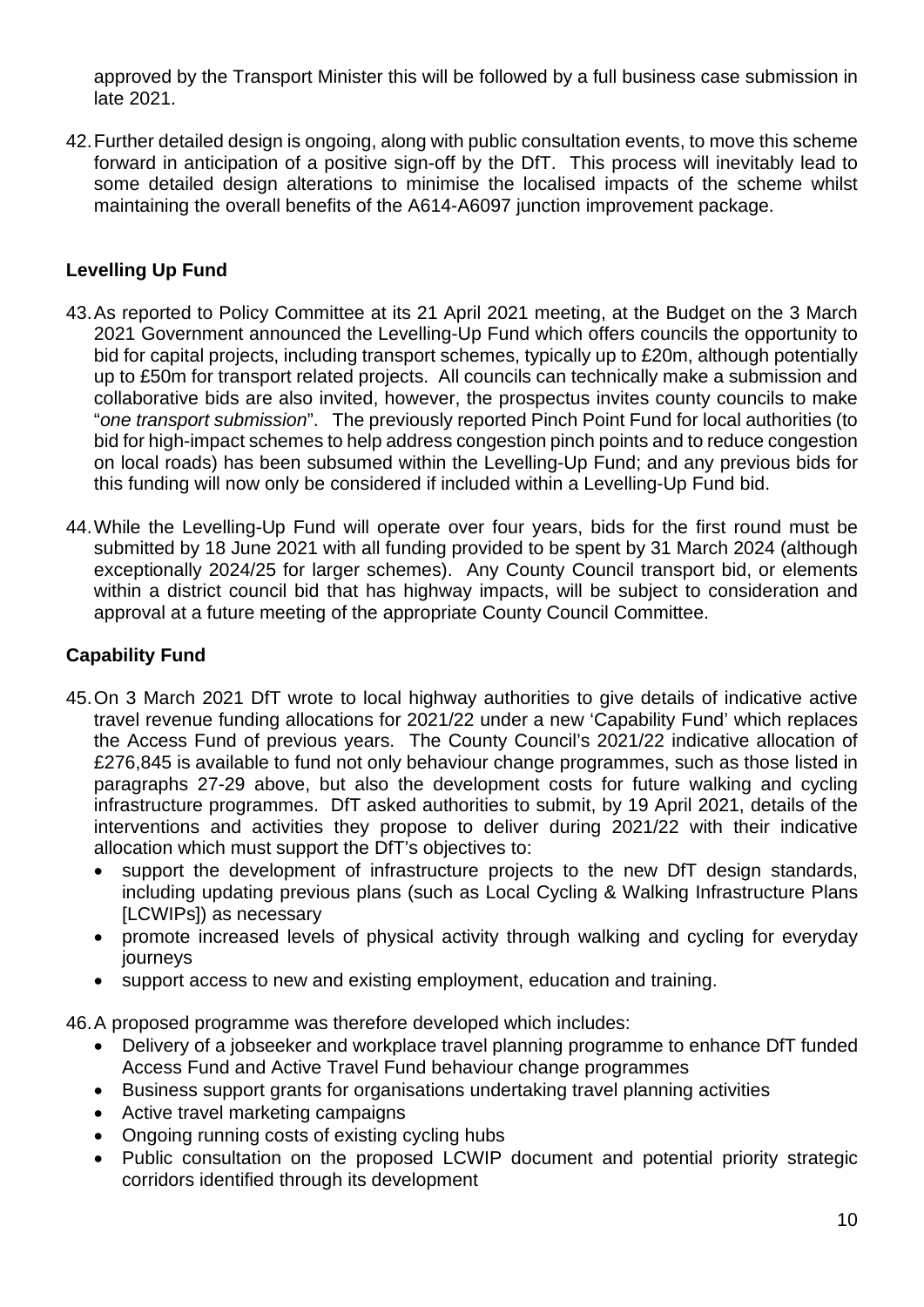approved by the Transport Minister this will be followed by a full business case submission in late 2021.

42.Further detailed design is ongoing, along with public consultation events, to move this scheme forward in anticipation of a positive sign-off by the DfT. This process will inevitably lead to some detailed design alterations to minimise the localised impacts of the scheme whilst maintaining the overall benefits of the A614-A6097 junction improvement package.

## **Levelling Up Fund**

- 43.As reported to Policy Committee at its 21 April 2021 meeting, at the Budget on the 3 March 2021 Government announced the Levelling-Up Fund which offers councils the opportunity to bid for capital projects, including transport schemes, typically up to £20m, although potentially up to £50m for transport related projects. All councils can technically make a submission and collaborative bids are also invited, however, the prospectus invites county councils to make "*one transport submission*". The previously reported Pinch Point Fund for local authorities (to bid for high-impact schemes to help address congestion pinch points and to reduce congestion on local roads) has been subsumed within the Levelling-Up Fund; and any previous bids for this funding will now only be considered if included within a Levelling-Up Fund bid.
- 44.While the Levelling-Up Fund will operate over four years, bids for the first round must be submitted by 18 June 2021 with all funding provided to be spent by 31 March 2024 (although exceptionally 2024/25 for larger schemes). Any County Council transport bid, or elements within a district council bid that has highway impacts, will be subject to consideration and approval at a future meeting of the appropriate County Council Committee.

### **Capability Fund**

- 45.On 3 March 2021 DfT wrote to local highway authorities to give details of indicative active travel revenue funding allocations for 2021/22 under a new 'Capability Fund' which replaces the Access Fund of previous years. The County Council's 2021/22 indicative allocation of £276,845 is available to fund not only behaviour change programmes, such as those listed in paragraphs 27-29 above, but also the development costs for future walking and cycling infrastructure programmes. DfT asked authorities to submit, by 19 April 2021, details of the interventions and activities they propose to deliver during 2021/22 with their indicative allocation which must support the DfT's objectives to:
	- support the development of infrastructure projects to the new DfT design standards, including updating previous plans (such as Local Cycling & Walking Infrastructure Plans [LCWIPs]) as necessary
	- promote increased levels of physical activity through walking and cycling for everyday journeys
	- support access to new and existing employment, education and training.

46.A proposed programme was therefore developed which includes:

- Delivery of a jobseeker and workplace travel planning programme to enhance DfT funded Access Fund and Active Travel Fund behaviour change programmes
- Business support grants for organisations undertaking travel planning activities
- Active travel marketing campaigns
- Ongoing running costs of existing cycling hubs
- Public consultation on the proposed LCWIP document and potential priority strategic corridors identified through its development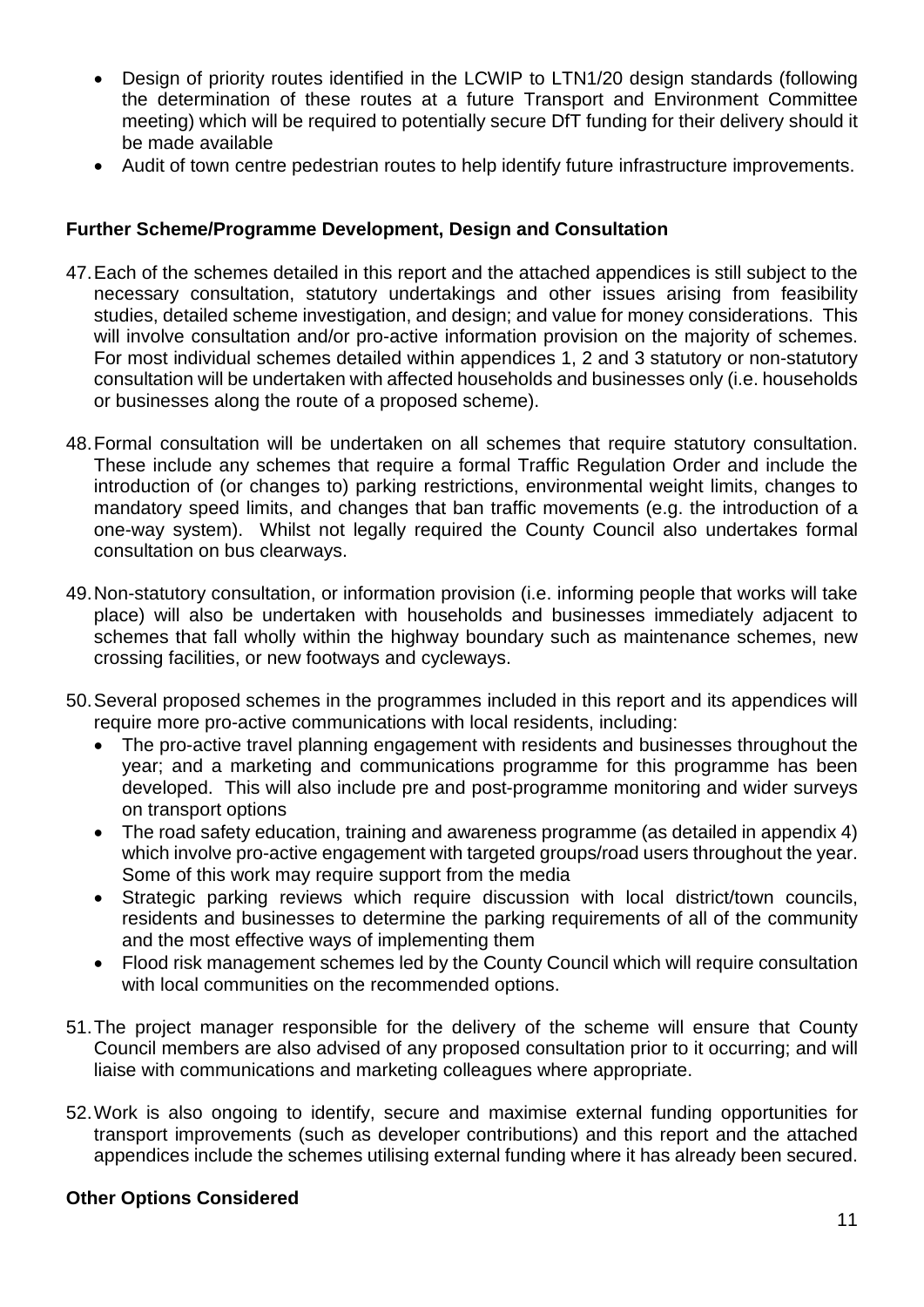- Design of priority routes identified in the LCWIP to LTN1/20 design standards (following the determination of these routes at a future Transport and Environment Committee meeting) which will be required to potentially secure DfT funding for their delivery should it be made available
- Audit of town centre pedestrian routes to help identify future infrastructure improvements.

## **Further Scheme/Programme Development, Design and Consultation**

- 47.Each of the schemes detailed in this report and the attached appendices is still subject to the necessary consultation, statutory undertakings and other issues arising from feasibility studies, detailed scheme investigation, and design; and value for money considerations. This will involve consultation and/or pro-active information provision on the majority of schemes. For most individual schemes detailed within appendices 1, 2 and 3 statutory or non-statutory consultation will be undertaken with affected households and businesses only (i.e. households or businesses along the route of a proposed scheme).
- 48.Formal consultation will be undertaken on all schemes that require statutory consultation. These include any schemes that require a formal Traffic Regulation Order and include the introduction of (or changes to) parking restrictions, environmental weight limits, changes to mandatory speed limits, and changes that ban traffic movements (e.g. the introduction of a one-way system). Whilst not legally required the County Council also undertakes formal consultation on bus clearways.
- 49.Non-statutory consultation, or information provision (i.e. informing people that works will take place) will also be undertaken with households and businesses immediately adjacent to schemes that fall wholly within the highway boundary such as maintenance schemes, new crossing facilities, or new footways and cycleways.
- 50.Several proposed schemes in the programmes included in this report and its appendices will require more pro-active communications with local residents, including:
	- The pro-active travel planning engagement with residents and businesses throughout the year; and a marketing and communications programme for this programme has been developed. This will also include pre and post-programme monitoring and wider surveys on transport options
	- The road safety education, training and awareness programme (as detailed in appendix 4) which involve pro-active engagement with targeted groups/road users throughout the year. Some of this work may require support from the media
	- Strategic parking reviews which require discussion with local district/town councils, residents and businesses to determine the parking requirements of all of the community and the most effective ways of implementing them
	- Flood risk management schemes led by the County Council which will require consultation with local communities on the recommended options.
- 51.The project manager responsible for the delivery of the scheme will ensure that County Council members are also advised of any proposed consultation prior to it occurring; and will liaise with communications and marketing colleagues where appropriate.
- 52.Work is also ongoing to identify, secure and maximise external funding opportunities for transport improvements (such as developer contributions) and this report and the attached appendices include the schemes utilising external funding where it has already been secured.

## **Other Options Considered**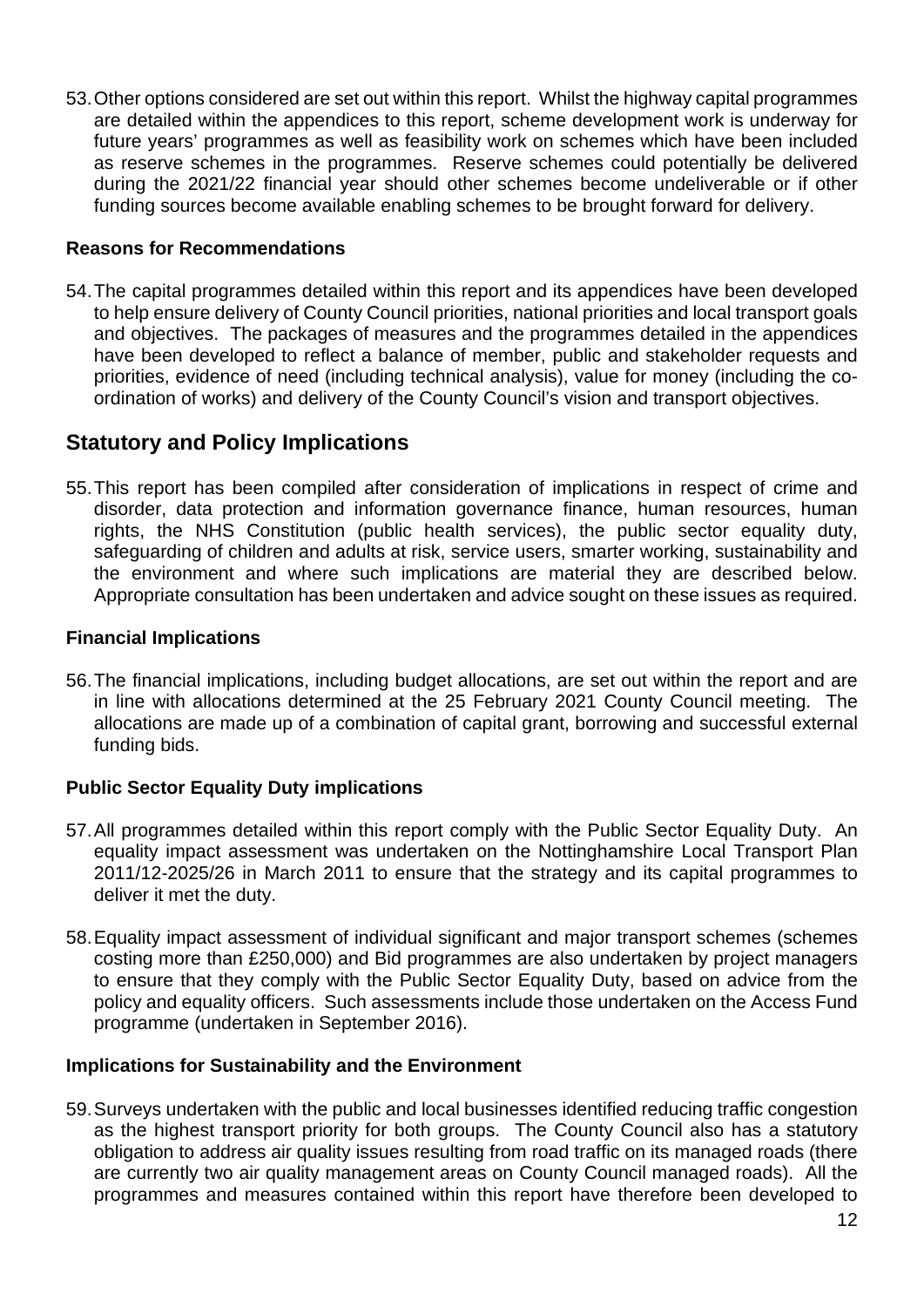53.Other options considered are set out within this report. Whilst the highway capital programmes are detailed within the appendices to this report, scheme development work is underway for future years' programmes as well as feasibility work on schemes which have been included as reserve schemes in the programmes. Reserve schemes could potentially be delivered during the 2021/22 financial year should other schemes become undeliverable or if other funding sources become available enabling schemes to be brought forward for delivery.

### **Reasons for Recommendations**

54.The capital programmes detailed within this report and its appendices have been developed to help ensure delivery of County Council priorities, national priorities and local transport goals and objectives. The packages of measures and the programmes detailed in the appendices have been developed to reflect a balance of member, public and stakeholder requests and priorities, evidence of need (including technical analysis), value for money (including the coordination of works) and delivery of the County Council's vision and transport objectives.

## **Statutory and Policy Implications**

55.This report has been compiled after consideration of implications in respect of crime and disorder, data protection and information governance finance, human resources, human rights, the NHS Constitution (public health services), the public sector equality duty, safeguarding of children and adults at risk, service users, smarter working, sustainability and the environment and where such implications are material they are described below. Appropriate consultation has been undertaken and advice sought on these issues as required.

#### **Financial Implications**

56.The financial implications, including budget allocations, are set out within the report and are in line with allocations determined at the 25 February 2021 County Council meeting. The allocations are made up of a combination of capital grant, borrowing and successful external funding bids.

## **Public Sector Equality Duty implications**

- 57.All programmes detailed within this report comply with the Public Sector Equality Duty. An equality impact assessment was undertaken on the Nottinghamshire Local Transport Plan 2011/12-2025/26 in March 2011 to ensure that the strategy and its capital programmes to deliver it met the duty.
- 58.Equality impact assessment of individual significant and major transport schemes (schemes costing more than £250,000) and Bid programmes are also undertaken by project managers to ensure that they comply with the Public Sector Equality Duty, based on advice from the policy and equality officers. Such assessments include those undertaken on the Access Fund programme (undertaken in September 2016).

## **Implications for Sustainability and the Environment**

59.Surveys undertaken with the public and local businesses identified reducing traffic congestion as the highest transport priority for both groups. The County Council also has a statutory obligation to address air quality issues resulting from road traffic on its managed roads (there are currently two air quality management areas on County Council managed roads). All the programmes and measures contained within this report have therefore been developed to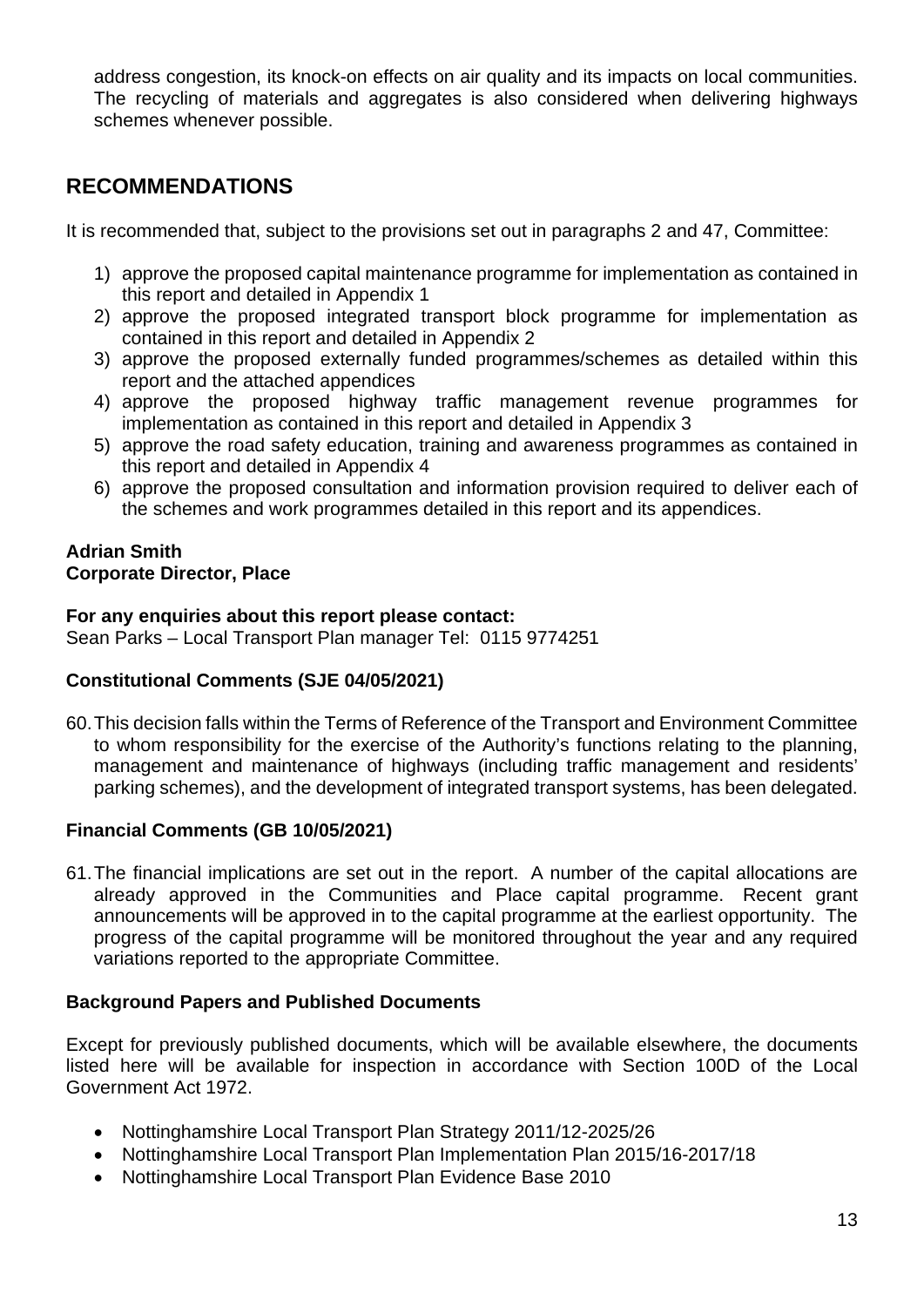address congestion, its knock-on effects on air quality and its impacts on local communities. The recycling of materials and aggregates is also considered when delivering highways schemes whenever possible.

# **RECOMMENDATIONS**

It is recommended that, subject to the provisions set out in paragraphs 2 and 47, Committee:

- 1) approve the proposed capital maintenance programme for implementation as contained in this report and detailed in Appendix 1
- 2) approve the proposed integrated transport block programme for implementation as contained in this report and detailed in Appendix 2
- 3) approve the proposed externally funded programmes/schemes as detailed within this report and the attached appendices
- 4) approve the proposed highway traffic management revenue programmes for implementation as contained in this report and detailed in Appendix 3
- 5) approve the road safety education, training and awareness programmes as contained in this report and detailed in Appendix 4
- 6) approve the proposed consultation and information provision required to deliver each of the schemes and work programmes detailed in this report and its appendices.

#### **Adrian Smith Corporate Director, Place**

#### **For any enquiries about this report please contact:**

Sean Parks – Local Transport Plan manager Tel: 0115 9774251

## **Constitutional Comments (SJE 04/05/2021)**

60.This decision falls within the Terms of Reference of the Transport and Environment Committee to whom responsibility for the exercise of the Authority's functions relating to the planning, management and maintenance of highways (including traffic management and residents' parking schemes), and the development of integrated transport systems, has been delegated.

## **Financial Comments (GB 10/05/2021)**

61.The financial implications are set out in the report. A number of the capital allocations are already approved in the Communities and Place capital programme. Recent grant announcements will be approved in to the capital programme at the earliest opportunity. The progress of the capital programme will be monitored throughout the year and any required variations reported to the appropriate Committee.

## **Background Papers and Published Documents**

Except for previously published documents, which will be available elsewhere, the documents listed here will be available for inspection in accordance with Section 100D of the Local Government Act 1972.

- Nottinghamshire Local Transport Plan Strategy 2011/12-2025/26
- Nottinghamshire Local Transport Plan Implementation Plan 2015/16-2017/18
- Nottinghamshire Local Transport Plan Evidence Base 2010